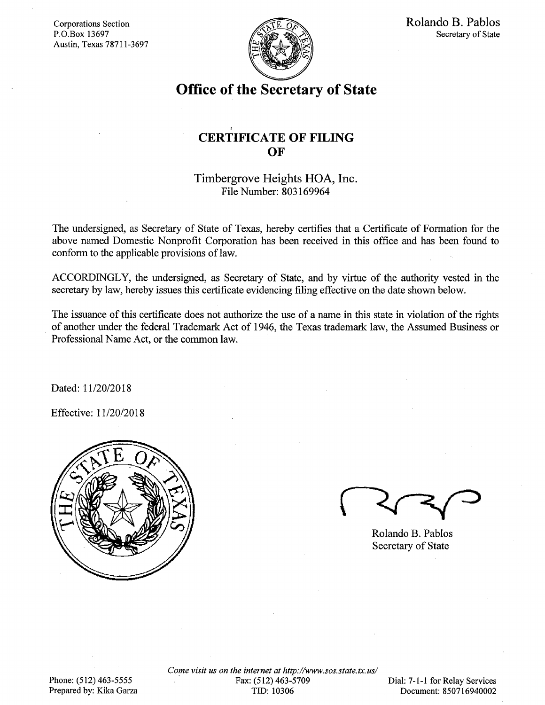Corporations Section P.O.Box 13697 Austin, Texas 78711-3697



Rolando B. Pablos Secretary of State

# Office of the Secretary of State

## CERTIFICATE OF FILING **OF**

## Timbergrove Heights HOA, Inc. File Number: 803169964

The undersigned, as Secretary of State of Texas, hereby certifies that a Certificate of Formation for the above named Domestic Nonprofit Corporation has been received in this office and has been found to conform to the applicable provisions of law.

ACCORDINGLY, the undersigned, as Secretary of State, and by virtue of the authority vested in the secretary by law, hereby issues this certificate evidencing filing effective on the date shown below.

The issuance of this certificate does not authorize the use of a name in this state in violation of the rights of another under the federal Trademark Act of 1946, the Texas trademark law, the Assumed Business or Professional Name Act, or the common law.

Dated: 11/20/2018

Effective: 11/20/2018



Rolando B. Pablos Secretary of State

Phone: (512) 463-5555 Prepared by: Kika Garza Come visit us on the internet at http://www.sos.state.tx.us/ Fax: (512) 463-5709 TID: 10306

Dial: 7-1-1 for Relay Services Document: 850716940002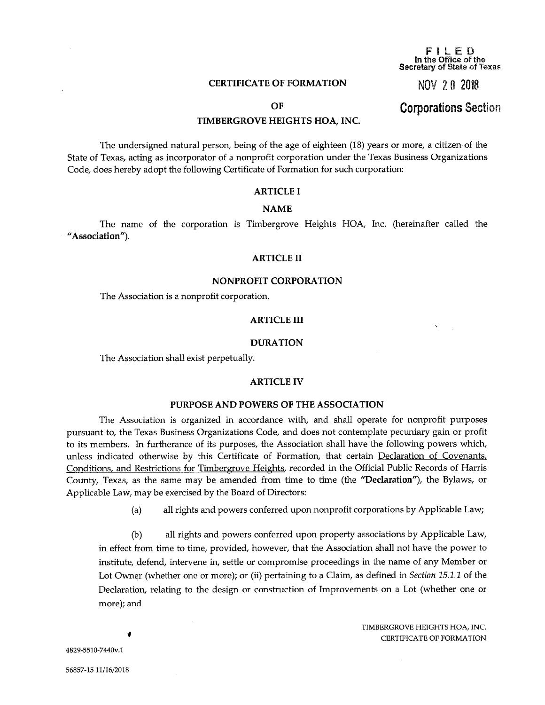## CERTIFICATE OF FORMATION

#### FILED In the Office of the Secretary of State of Texas

NOV 2 0 2018

## OF

## TIMBERGROVE HEIGHTS HOA, INC.

The undersigned natural person, being of the age of eighteen (18) years or more, a citizen of the State of Texas, acting as incorporator of a nonprofit corporation under the Texas Business Organizations Code, does hereby adopt the following Certificate of Formation for such corporation:

## ARTICLE I

#### NAME

The name of the corporation is Timbergrove Heights HOA, Inc. (hereinafter called the "Association").

## ARTICLE II

#### NONPROFIT CORPORATION

The Association is a nonprofit corporation.

#### ARTICLE III

#### DURATION

The Association shall exist perpetually.

## ARTICLE IV

#### PURPOSE AND POWERS OF THE ASSOCIATION

The Association is organized in accordance with, and shall operate for nonprofit purposes pursuant to, the Texas Business Organizations Code, and does not contemplate pecuniary gain or profit to its members. In furtherance of its purposes, the Association shall have the following powers which, unless indicated otherwise by this Certificate of Formation, that certain Declaration of Covenants, Conditions, and Restrictions for Timbergrove Heights, recorded in the Official Public Records of Harris County, Texas, as the same may be amended from time to time (the "Declaration"), the Bylaws, or Applicable Law, may be exercised by the Board of Directors:

(a) all rights and powers conferred upon nonprofit corporations by Applicable Law;

(b) all rights and powers conferred upon property associations by Applicable Law, in effect from time to time, provided, however, that the Association shall not have the power to institute, defend, intervene in, settle or compromise proceedings in the name of any Member or Lot Owner (whether one or more); or (ii) pertaining to a Claim, as defined in *Section 15.1.1* of the Declaration, relating to the design or construction of Improvements on a Lot (whether one or more); and

> TIMBERGROVE HEIGHTS HOA, INC. CERTIFICATE OF FORMATION

۰

4829-5510-7440v.1

Corporations Section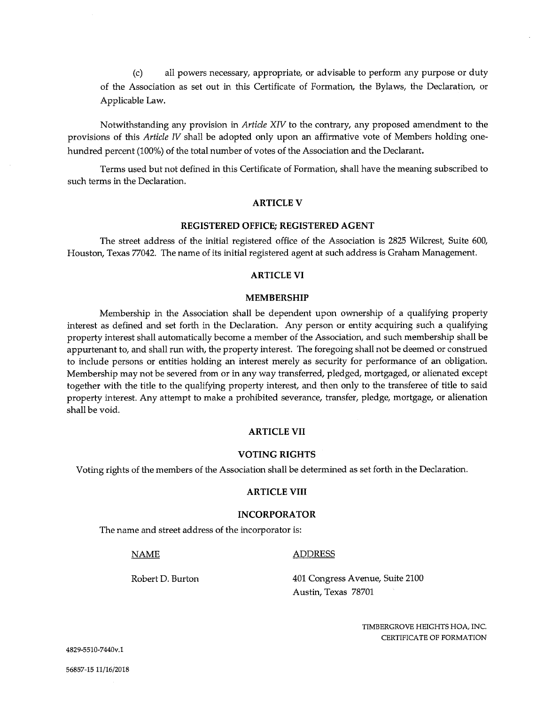(c) all powers necessary, appropriate, or advisable to perform any purpose or duty of the Association as set out in this Certificate of Formation, the Bylaws, the Declaration, or Applicable Law.

Notwithstanding any provision in Article XIV to the contrary, any proposed amendment to the provisions of this Article IV shall be adopted only upon an affirmative vote of Members holding onehundred percent (100%) of the total number of votes of the Association and the Declarant.

Terms used but not defined in this Certificate of Formation, shall have the meaning subscribed to such terms in the Declaration.

## ARTICLE V

## REGISTERED OFFICE; REGISTERED AGENT

The street address of the initial registered office of the Association is 2825 Wilcrest, Suite 600, Houston, Texas 77042. The name of its initial registered agent at such address is Graham Management.

## ARTICLE VI

#### MEMBERSHIP

Membership in the Association shall be dependent upon ownership of a qualifying property interest as defined and set forth in the Declaration. Any person or entity acquiring such a qualifying property interest shall automatically become a member of the Association, and such membership shall be appurtenant to, and shall run with, the property interest. The foregoing shall not be deemed or construed to include persons or entities holding an interest merely as security for performance of an obligation. Membership may not be severed from or in any way transferred, pledged, mortgaged, or alienated except together with the title to the qualifying property interest, and then only to the transferee of title to said property interest. Any attempt to make a prohibited severance, transfer, pledge, mortgage, or alienation shall be void.

## ARTICLE VII

#### VOTING RIGHTS

Voting rights of the members of the Association shall be determined as set forth in the Declaration.

#### ARTICLE VIII

## INCORPORATOR

The name and street address of the incorporator is:

#### NAME ADDRESS

Robert D. Burton 401 Congress Avenue, Suite 2100 Austin, Texas 78701

> TIMBERGROVE HEIGHTS HOA, INC. CERTIFICATE OF FORMATION

4829-5510-7440v.1

56857-15 11/16/2018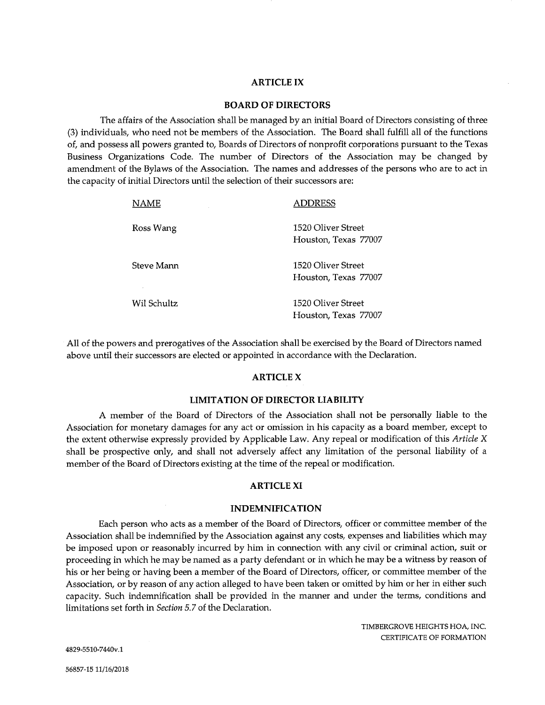## ARTICLE IX

## BOARD OF DIRECTORS

The affairs of the Association shall be managed by an initial Board of Directors consisting of three (3) individuals, who need not be members of the Association. The Board shall fulfill all of the functions of, and possess all powers granted to, Boards of Directors of nonprofit corporations pursuant to the Texas Business Organizations Code. The number of Directors of the Association may be changed by amendment of the Bylaws of the Association. The names and addresses of the persons who are to act in the capacity of initial Directors until the selection of their successors are:

| <b>NAME</b>              | ADDRESS                                    |
|--------------------------|--------------------------------------------|
| Ross Wang                | 1520 Oliver Street<br>Houston, Texas 77007 |
| Steve Mann<br>$\epsilon$ | 1520 Oliver Street<br>Houston, Texas 77007 |
| Wil Schultz              | 1520 Oliver Street<br>Houston, Texas 77007 |

All of the powers and prerogatives of the Association shall be exercised by the Board of Directors named above until their successors are elected or appointed in accordance with the Declaration.

## ARTICLE X

## LIMITATION OF DIRECTOR LIABILITY

A member of the Board of Directors of the Association shall not be personally liable to the Association for monetary damages for any act or omission in his capacity as a board member, except to the extent otherwise expressly provided by Applicable Law. Any repeal or modification of this Article X shall be prospective only, and shall not adversely affect any limitation of the personal liability of a member of the Board of Directors existing at the time of the repeal or modification.

## ARTICLE XI

#### INDEMNIFICATION

Each person who acts as a member of the Board of Directors, officer or committee member of the Association shall be indemnified by the Association against any costs, expenses and liabilities which may be imposed upon or reasonably incurred by him in connection with any civil or criminal action, suit or proceeding in which he may be named as a party defendant or in which he may be a witness by reason of his or her being or having been a member of the Board of Directors, officer, or committee member of the Association, or by reason of any action alleged to have been taken or omitted by him or her in either such capacity. Such indemnification shall be provided in the manner and under the terms, conditions and limitations set forth in Section 5.7 of the Declaration.

> TIMBERGROVE HEIGHTS HOA, INC. CERTIFICATE OF FORMATION